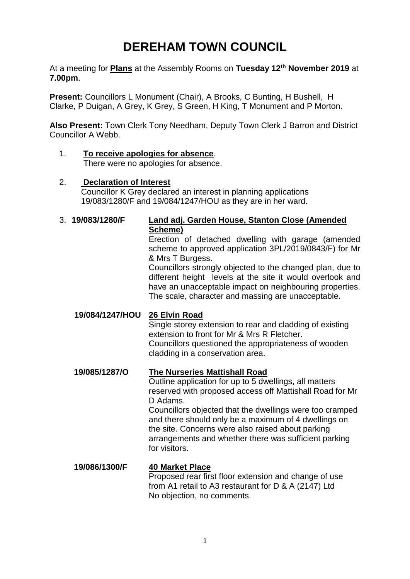# **DEREHAM TOWN COUNCIL**

At a meeting for **Plans** at the Assembly Rooms on **Tuesday 12th November 2019** at **7.00pm**.

**Present:** Councillors L Monument (Chair), A Brooks, C Bunting, H Bushell, H Clarke, P Duigan, A Grey, K Grey, S Green, H King, T Monument and P Morton.

**Also Present:** Town Clerk Tony Needham, Deputy Town Clerk J Barron and District Councillor A Webb.

1. **To receive apologies for absence**. There were no apologies for absence.

#### 2. **Declaration of Interest** Councillor K Grey declared an interest in planning applications 19/083/1280/F and 19/084/1247/HOU as they are in her ward.

# 3. **19/083/1280/F Land adj. Garden House, Stanton Close (Amended Scheme)**

Erection of detached dwelling with garage (amended scheme to approved application 3PL/2019/0843/F) for Mr & Mrs T Burgess.

Councillors strongly objected to the changed plan, due to different height levels at the site it would overlook and have an unacceptable impact on neighbouring properties. The scale, character and massing are unacceptable.

## **19/084/1247/HOU 26 Elvin Road**

Single storey extension to rear and cladding of existing extension to front for Mr & Mrs R Fletcher. Councillors questioned the appropriateness of wooden cladding in a conservation area.

## **19/085/1287/O The Nurseries Mattishall Road**

Outline application for up to 5 dwellings, all matters reserved with proposed access off Mattishall Road for Mr D Adams.

Councillors objected that the dwellings were too cramped and there should only be a maximum of 4 dwellings on the site. Concerns were also raised about parking arrangements and whether there was sufficient parking for visitors.

# **19/086/1300/F 40 Market Place**

Proposed rear first floor extension and change of use from A1 retail to A3 restaurant for D & A (2147) Ltd No objection, no comments.